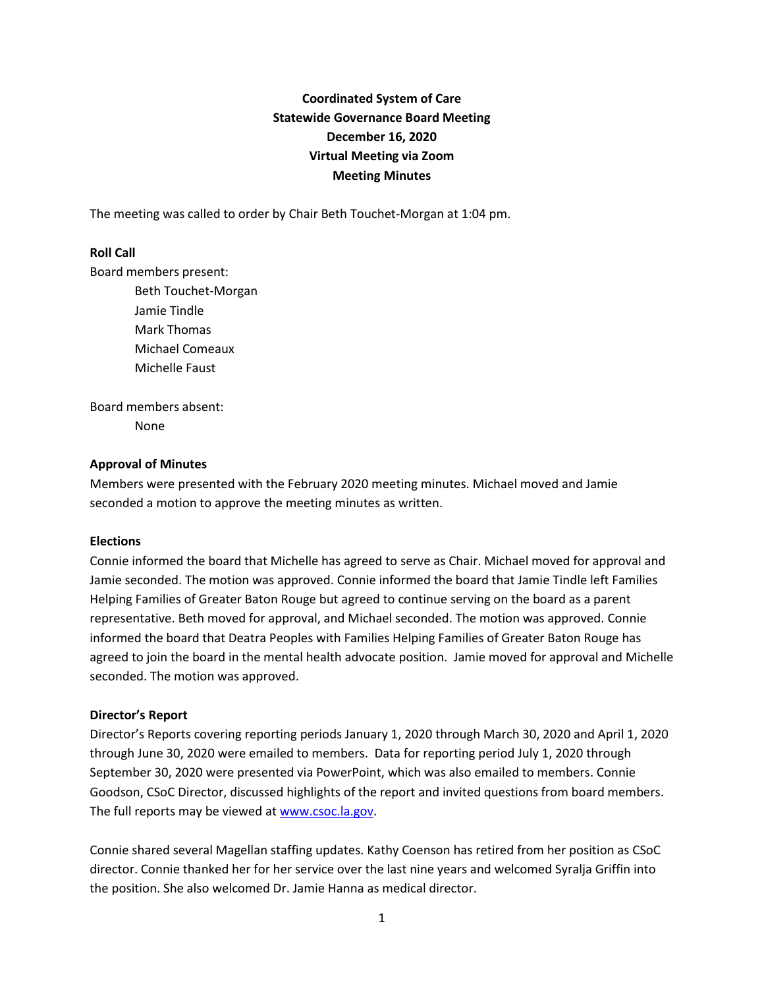# **Coordinated System of Care Statewide Governance Board Meeting December 16, 2020 Virtual Meeting via Zoom Meeting Minutes**

The meeting was called to order by Chair Beth Touchet-Morgan at 1:04 pm.

## **Roll Call**

Board members present:

Beth Touchet-Morgan Jamie Tindle Mark Thomas Michael Comeaux Michelle Faust

Board members absent: None

## **Approval of Minutes**

Members were presented with the February 2020 meeting minutes. Michael moved and Jamie seconded a motion to approve the meeting minutes as written.

# **Elections**

Connie informed the board that Michelle has agreed to serve as Chair. Michael moved for approval and Jamie seconded. The motion was approved. Connie informed the board that Jamie Tindle left Families Helping Families of Greater Baton Rouge but agreed to continue serving on the board as a parent representative. Beth moved for approval, and Michael seconded. The motion was approved. Connie informed the board that Deatra Peoples with Families Helping Families of Greater Baton Rouge has agreed to join the board in the mental health advocate position. Jamie moved for approval and Michelle seconded. The motion was approved.

#### **Director's Report**

Director's Reports covering reporting periods January 1, 2020 through March 30, 2020 and April 1, 2020 through June 30, 2020 were emailed to members. Data for reporting period July 1, 2020 through September 30, 2020 were presented via PowerPoint, which was also emailed to members. Connie Goodson, CSoC Director, discussed highlights of the report and invited questions from board members. The full reports may be viewed at [www.csoc.la.gov.](http://www.csoc.la.gov/)

Connie shared several Magellan staffing updates. Kathy Coenson has retired from her position as CSoC director. Connie thanked her for her service over the last nine years and welcomed Syralja Griffin into the position. She also welcomed Dr. Jamie Hanna as medical director.